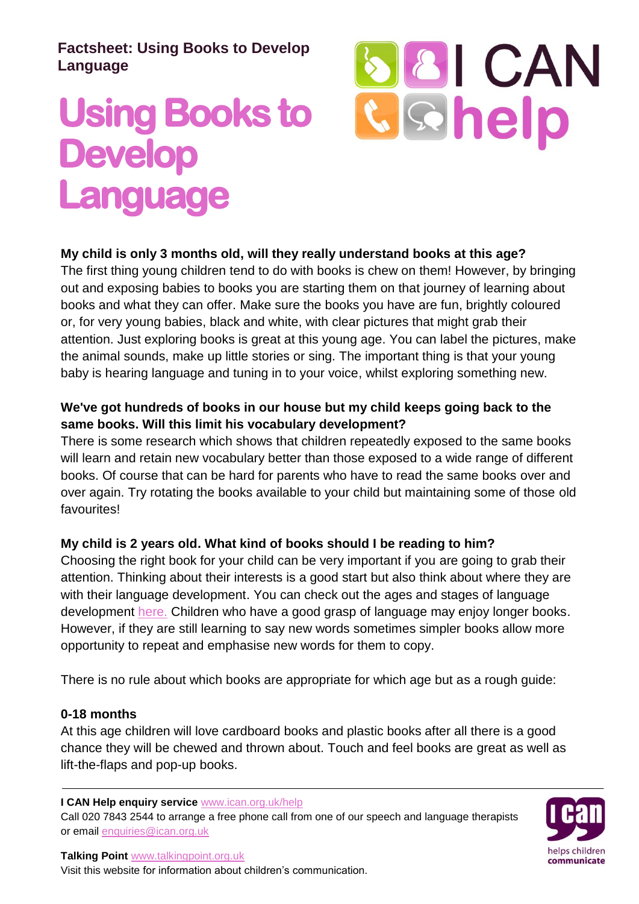# **Factsheet: Using Books to Develop Language**

# **Using Books to Develop Language**



**My child is only 3 months old, will they really understand books at this age?**

The first thing young children tend to do with books is chew on them! However, by bringing out and exposing babies to books you are starting them on that journey of learning about books and what they can offer. Make sure the books you have are fun, brightly coloured or, for very young babies, black and white, with clear pictures that might grab their attention. Just exploring books is great at this young age. You can label the pictures, make the animal sounds, make up little stories or sing. The important thing is that your young baby is hearing language and tuning in to your voice, whilst exploring something new.

# **We've got hundreds of books in our house but my child keeps going back to the same books. Will this limit his vocabulary development?**

There is some research which shows that children repeatedly exposed to the same books will learn and retain new vocabulary better than those exposed to a wide range of different books. Of course that can be hard for parents who have to read the same books over and over again. Try rotating the books available to your child but maintaining some of those old favourites!

# **My child is 2 years old. What kind of books should I be reading to him?**

Choosing the right book for your child can be very important if you are going to grab their attention. Thinking about their interests is a good start but also think about where they are with their language development. You can check out the ages and stages of language development [here.](http://www.talkingpoint.org.uk/) Children who have a good grasp of language may enjoy longer books. However, if they are still learning to say new words sometimes simpler books allow more opportunity to repeat and emphasise new words for them to copy.

There is no rule about which books are appropriate for which age but as a rough guide:

# **0-18 months**

At this age children will love cardboard books and plastic books after all there is a good chance they will be chewed and thrown about. Touch and feel books are great as well as lift-the-flaps and pop-up books.

**I CAN Help enquiry service** www.ican.org.uk/help

Call 020 7843 2544 to arrange a free phone call from one of our speech and language therapists or email enquiries@ican.org.uk

helps children communicate

**Talking Point** www.talkingpoint.org.uk

Visit this website for information about children's communication.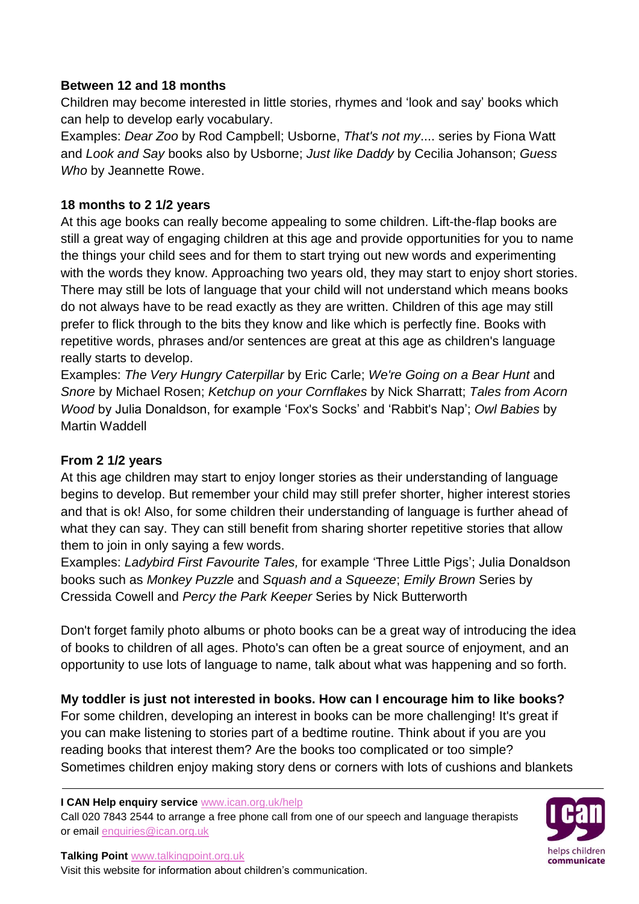### **Between 12 and 18 months**

Children may become interested in little stories, rhymes and 'look and say' books which can help to develop early vocabulary.

Examples: *Dear Zoo* by Rod Campbell; Usborne, *That's not my*.... series by Fiona Watt and *Look and Say* books also by Usborne; *Just like Daddy* by Cecilia Johanson; *Guess Who* by Jeannette Rowe.

## **18 months to 2 1/2 years**

At this age books can really become appealing to some children. Lift-the-flap books are still a great way of engaging children at this age and provide opportunities for you to name the things your child sees and for them to start trying out new words and experimenting with the words they know. Approaching two years old, they may start to enjoy short stories. There may still be lots of language that your child will not understand which means books do not always have to be read exactly as they are written. Children of this age may still prefer to flick through to the bits they know and like which is perfectly fine. Books with repetitive words, phrases and/or sentences are great at this age as children's language really starts to develop.

Examples: *The Very Hungry Caterpillar* by Eric Carle; *We're Going on a Bear Hunt* and *Snore* by Michael Rosen; *Ketchup on your Cornflakes* by Nick Sharratt; *Tales from Acorn Wood* by Julia Donaldson, for example 'Fox's Socks' and 'Rabbit's Nap'; *Owl Babies* by Martin Waddell

#### **From 2 1/2 years**

At this age children may start to enjoy longer stories as their understanding of language begins to develop. But remember your child may still prefer shorter, higher interest stories and that is ok! Also, for some children their understanding of language is further ahead of what they can say. They can still benefit from sharing shorter repetitive stories that allow them to join in only saying a few words.

Examples: *Ladybird First Favourite Tales,* for example 'Three Little Pigs'; Julia Donaldson books such as *Monkey Puzzle* and *Squash and a Squeeze*; *Emily Brown* Series by Cressida Cowell and *Percy the Park Keeper* Series by Nick Butterworth

Don't forget family photo albums or photo books can be a great way of introducing the idea of books to children of all ages. Photo's can often be a great source of enjoyment, and an opportunity to use lots of language to name, talk about what was happening and so forth.

**My toddler is just not interested in books. How can I encourage him to like books?** For some children, developing an interest in books can be more challenging! It's great if you can make listening to stories part of a bedtime routine. Think about if you are you reading books that interest them? Are the books too complicated or too simple? Sometimes children enjoy making story dens or corners with lots of cushions and blankets

**I CAN Help enquiry service** www.ican.org.uk/help

Call 020 7843 2544 to arrange a free phone call from one of our speech and language therapists or email enquiries@ican.org.uk



**Talking Point** www.talkingpoint.org.uk

Visit this website for information about children's communication.